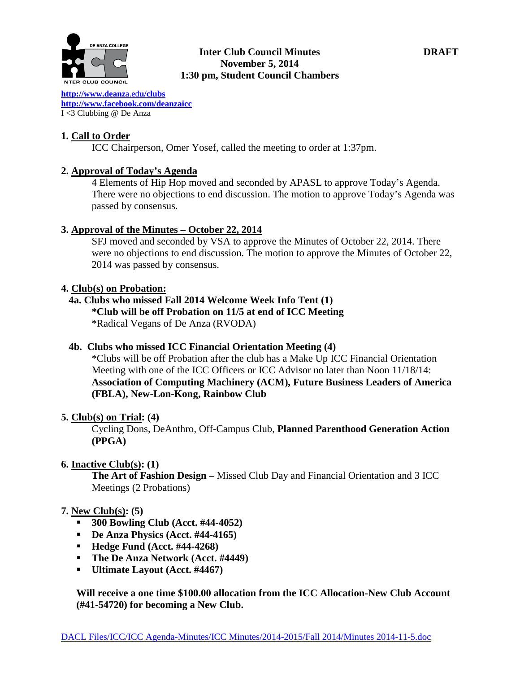

## **Inter Club Council Minutes DRAFT November 5, 2014 1:30 pm, Student Council Chambers**

**[http://www.deanz](http://www.deanza.edu/clubs)**a.ed**u/clubs [http://www.facebook.com/deanzaicc](http://www.facebook.com/home.php%23!/group.php?gid=59034552686)** I <3 Clubbing @ De Anza

# **1. Call to Order**

ICC Chairperson, Omer Yosef, called the meeting to order at 1:37pm.

# **2. Approval of Today's Agenda**

4 Elements of Hip Hop moved and seconded by APASL to approve Today's Agenda. There were no objections to end discussion. The motion to approve Today's Agenda was passed by consensus.

### **3. Approval of the Minutes – October 22, 2014**

SFJ moved and seconded by VSA to approve the Minutes of October 22, 2014. There were no objections to end discussion. The motion to approve the Minutes of October 22, 2014 was passed by consensus.

### **4. Club(s) on Probation:**

# **4a. Clubs who missed Fall 2014 Welcome Week Info Tent (1)**

**\*Club will be off Probation on 11/5 at end of ICC Meeting**

\*Radical Vegans of De Anza (RVODA)

# **4b. Clubs who missed ICC Financial Orientation Meeting (4)**

\*Clubs will be off Probation after the club has a Make Up ICC Financial Orientation Meeting with one of the ICC Officers or ICC Advisor no later than Noon 11/18/14: **Association of Computing Machinery (ACM), Future Business Leaders of America (FBLA), New-Lon-Kong, Rainbow Club**

### **5. Club(s) on Trial: (4)**

Cycling Dons, DeAnthro, Off-Campus Club, **Planned Parenthood Generation Action (PPGA)**

### **6. Inactive Club(s): (1)**

**The Art of Fashion Design –** Missed Club Day and Financial Orientation and 3 ICC Meetings (2 Probations)

### **7. New Club(s): (5)**

- **300 Bowling Club (Acct. #44-4052)**
- **De Anza Physics (Acct. #44-4165)**
- **Hedge Fund (Acct. #44-4268)**
- **The De Anza Network (Acct. #4449)**
- **Ultimate Layout (Acct. #4467)**

**Will receive a one time \$100.00 allocation from the ICC Allocation-New Club Account (#41-54720) for becoming a New Club.**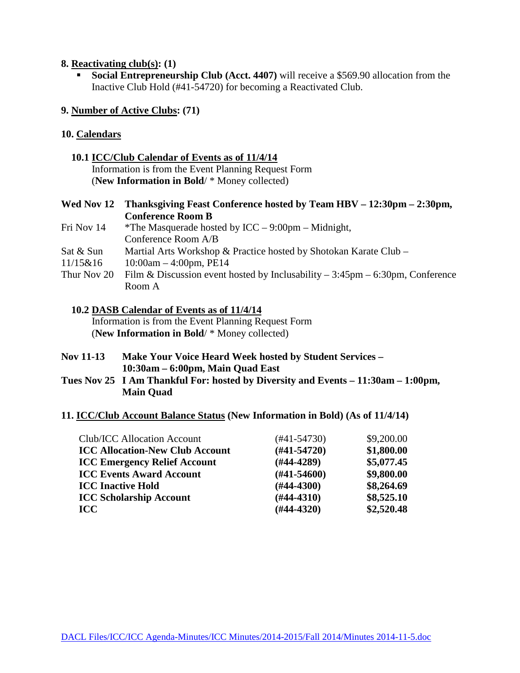#### **8. Reactivating club(s): (1)**

**Social Entrepreneurship Club (Acct. 4407)** will receive a \$569.90 allocation from the Inactive Club Hold (#41-54720) for becoming a Reactivated Club.

### **9. Number of Active Clubs: (71)**

#### **10. Calendars**

#### **10.1 ICC/Club Calendar of Events as of 11/4/14**

 Information is from the Event Planning Request Form (**New Information in Bold**/ \* Money collected)

## **Wed Nov 12 Thanksgiving Feast Conference hosted by Team HBV – 12:30pm – 2:30pm, Conference Room B**

- Fri Nov 14  $*$ The Masquerade hosted by ICC 9:00pm Midnight, Conference Room A/B
- Sat & Sun Martial Arts Workshop & Practice hosted by Shotokan Karate Club –
- $11/15\&16$  10:00am 4:00pm, PE14
- Thur Nov 20 Film & Discussion event hosted by Inclusability  $-3:45$ pm  $-6:30$ pm, Conference Room A

# **10.2 DASB Calendar of Events as of 11/4/14**

 Information is from the Event Planning Request Form (**New Information in Bold**/ \* Money collected)

- **Nov 11-13 Make Your Voice Heard Week hosted by Student Services – 10:30am – 6:00pm, Main Quad East**
- **Tues Nov 25 I Am Thankful For: hosted by Diversity and Events – 11:30am – 1:00pm, Main Quad**

### **11. ICC/Club Account Balance Status (New Information in Bold) (As of 11/4/14)**

| (#41-54730)   | \$9,200.00 |
|---------------|------------|
| $(#41-54720)$ | \$1,800.00 |
| $(H44-4289)$  | \$5,077.45 |
| $(H41-54600)$ | \$9,800.00 |
| $(H44-4300)$  | \$8,264.69 |
| $(H44-4310)$  | \$8,525.10 |
| $(H44-4320)$  | \$2,520.48 |
|               |            |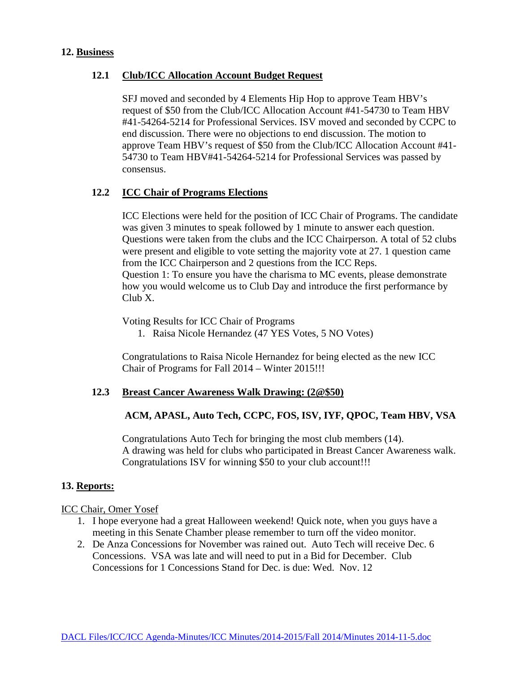#### **12. Business**

## **12.1 Club/ICC Allocation Account Budget Request**

SFJ moved and seconded by 4 Elements Hip Hop to approve Team HBV's request of \$50 from the Club/ICC Allocation Account #41-54730 to Team HBV #41-54264-5214 for Professional Services. ISV moved and seconded by CCPC to end discussion. There were no objections to end discussion. The motion to approve Team HBV's request of \$50 from the Club/ICC Allocation Account #41- 54730 to Team HBV#41-54264-5214 for Professional Services was passed by consensus.

#### **12.2 ICC Chair of Programs Elections**

ICC Elections were held for the position of ICC Chair of Programs. The candidate was given 3 minutes to speak followed by 1 minute to answer each question. Questions were taken from the clubs and the ICC Chairperson. A total of 52 clubs were present and eligible to vote setting the majority vote at 27. 1 question came from the ICC Chairperson and 2 questions from the ICC Reps. Question 1: To ensure you have the charisma to MC events, please demonstrate how you would welcome us to Club Day and introduce the first performance by Club X.

Voting Results for ICC Chair of Programs

1. Raisa Nicole Hernandez (47 YES Votes, 5 NO Votes)

Congratulations to Raisa Nicole Hernandez for being elected as the new ICC Chair of Programs for Fall 2014 – Winter 2015!!!

#### **12.3 Breast Cancer Awareness Walk Drawing: (2@\$50)**

### **ACM, APASL, Auto Tech, CCPC, FOS, ISV, IYF, QPOC, Team HBV, VSA**

Congratulations Auto Tech for bringing the most club members (14). A drawing was held for clubs who participated in Breast Cancer Awareness walk. Congratulations ISV for winning \$50 to your club account!!!

# **13. Reports:**

#### ICC Chair, Omer Yosef

- 1. I hope everyone had a great Halloween weekend! Quick note, when you guys have a meeting in this Senate Chamber please remember to turn off the video monitor.
- 2. De Anza Concessions for November was rained out. Auto Tech will receive Dec. 6 Concessions. VSA was late and will need to put in a Bid for December. Club Concessions for 1 Concessions Stand for Dec. is due: Wed. Nov. 12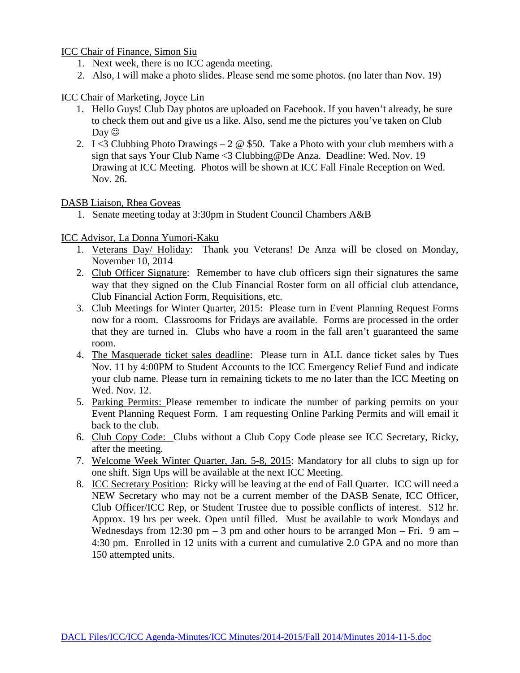ICC Chair of Finance, Simon Siu

- 1. Next week, there is no ICC agenda meeting.
- 2. Also, I will make a photo slides. Please send me some photos. (no later than Nov. 19)

## ICC Chair of Marketing, Joyce Lin

- 1. Hello Guys! Club Day photos are uploaded on Facebook. If you haven't already, be sure to check them out and give us a like. Also, send me the pictures you've taken on Club  $\text{Dav}\ \odot$
- 2. I <3 Clubbing Photo Drawings 2  $\omega$  \$50. Take a Photo with your club members with a sign that says Your Club Name <3 Clubbing@De Anza. Deadline: Wed. Nov. 19 Drawing at ICC Meeting. Photos will be shown at ICC Fall Finale Reception on Wed. Nov. 26.

# DASB Liaison, Rhea Goveas

1. Senate meeting today at 3:30pm in Student Council Chambers A&B

# ICC Advisor, La Donna Yumori-Kaku

- 1. Veterans Day/ Holiday: Thank you Veterans! De Anza will be closed on Monday, November 10, 2014
- 2. Club Officer Signature: Remember to have club officers sign their signatures the same way that they signed on the Club Financial Roster form on all official club attendance, Club Financial Action Form, Requisitions, etc.
- 3. Club Meetings for Winter Quarter, 2015: Please turn in Event Planning Request Forms now for a room. Classrooms for Fridays are available. Forms are processed in the order that they are turned in. Clubs who have a room in the fall aren't guaranteed the same room.
- 4. The Masquerade ticket sales deadline: Please turn in ALL dance ticket sales by Tues Nov. 11 by 4:00PM to Student Accounts to the ICC Emergency Relief Fund and indicate your club name. Please turn in remaining tickets to me no later than the ICC Meeting on Wed. Nov. 12.
- 5. Parking Permits: Please remember to indicate the number of parking permits on your Event Planning Request Form. I am requesting Online Parking Permits and will email it back to the club.
- 6. Club Copy Code: Clubs without a Club Copy Code please see ICC Secretary, Ricky, after the meeting.
- 7. Welcome Week Winter Quarter, Jan. 5-8, 2015: Mandatory for all clubs to sign up for one shift. Sign Ups will be available at the next ICC Meeting.
- 8. ICC Secretary Position: Ricky will be leaving at the end of Fall Quarter. ICC will need a NEW Secretary who may not be a current member of the DASB Senate, ICC Officer, Club Officer/ICC Rep, or Student Trustee due to possible conflicts of interest. \$12 hr. Approx. 19 hrs per week. Open until filled. Must be available to work Mondays and Wednesdays from 12:30 pm  $-$  3 pm and other hours to be arranged Mon  $-$  Fri. 9 am  $-$ 4:30 pm. Enrolled in 12 units with a current and cumulative 2.0 GPA and no more than 150 attempted units.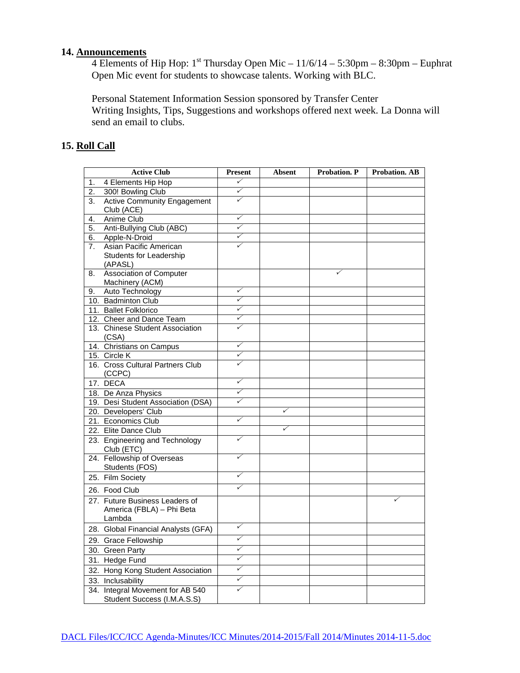#### **14. Announcements**

4 Elements of Hip Hop:  $1^{st}$  Thursday Open Mic  $-11/6/14 - 5:30$ pm  $-8:30$ pm  $-$  Euphrat Open Mic event for students to showcase talents. Working with BLC.

Personal Statement Information Session sponsored by Transfer Center Writing Insights, Tips, Suggestions and workshops offered next week. La Donna will send an email to clubs.

# **15. Roll Call**

|                | <b>Active Club</b>                                                    | <b>Present</b>          | <b>Absent</b> | <b>Probation. P</b> | <b>Probation. AB</b> |
|----------------|-----------------------------------------------------------------------|-------------------------|---------------|---------------------|----------------------|
| 1.             | 4 Elements Hip Hop                                                    | $\checkmark$            |               |                     |                      |
| 2.             | 300! Bowling Club                                                     | ✓                       |               |                     |                      |
| 3.             | <b>Active Community Engagement</b><br>Club (ACE)                      | ✓                       |               |                     |                      |
| 4.             | Anime Club                                                            | ✓                       |               |                     |                      |
| 5.             | Anti-Bullying Club (ABC)                                              | ✓                       |               |                     |                      |
| 6.             | Apple-N-Droid                                                         | ✓                       |               |                     |                      |
| 7 <sub>1</sub> | Asian Pacific American                                                | ✓                       |               |                     |                      |
|                | Students for Leadership<br>(APASL)                                    |                         |               |                     |                      |
| 8.             | <b>Association of Computer</b><br>Machinery (ACM)                     |                         |               | ✓                   |                      |
| 9.             | Auto Technology                                                       | ✓                       |               |                     |                      |
|                | 10. Badminton Club                                                    | ✓                       |               |                     |                      |
|                | 11. Ballet Folklorico                                                 | $\checkmark$            |               |                     |                      |
|                | 12. Cheer and Dance Team                                              | ✓                       |               |                     |                      |
|                | 13. Chinese Student Association<br>(CSA)                              | ✓                       |               |                     |                      |
|                | 14. Christians on Campus                                              | ✓                       |               |                     |                      |
|                | 15. Circle K                                                          | ✓                       |               |                     |                      |
|                | 16. Cross Cultural Partners Club<br>(CCPC)                            | $\checkmark$            |               |                     |                      |
|                | 17. DECA                                                              | ✓                       |               |                     |                      |
|                | 18. De Anza Physics                                                   | ✓                       |               |                     |                      |
|                | 19. Desi Student Association (DSA)                                    | ✓                       |               |                     |                      |
|                | 20. Developers' Club                                                  |                         | ✓             |                     |                      |
|                | 21. Economics Club                                                    | ✓                       |               |                     |                      |
|                | 22. Elite Dance Club                                                  |                         | ✓             |                     |                      |
|                | 23. Engineering and Technology<br>Club (ETC)                          | ✓                       |               |                     |                      |
|                | 24. Fellowship of Overseas<br>Students (FOS)                          | ✓                       |               |                     |                      |
|                | 25. Film Society                                                      | $\overline{\checkmark}$ |               |                     |                      |
|                | 26. Food Club                                                         | $\overline{\checkmark}$ |               |                     |                      |
|                | 27. Future Business Leaders of<br>America (FBLA) - Phi Beta<br>Lambda |                         |               |                     |                      |
|                | 28. Global Financial Analysts (GFA)                                   | $\checkmark$            |               |                     |                      |
|                | 29. Grace Fellowship                                                  | ✓                       |               |                     |                      |
|                | 30. Green Party                                                       | ✓                       |               |                     |                      |
|                | 31. Hedge Fund                                                        | $\checkmark$            |               |                     |                      |
|                | 32. Hong Kong Student Association                                     | ✓                       |               |                     |                      |
|                | 33. Inclusability                                                     | ✓                       |               |                     |                      |
|                | 34. Integral Movement for AB 540<br>Student Success (I.M.A.S.S)       | ✓                       |               |                     |                      |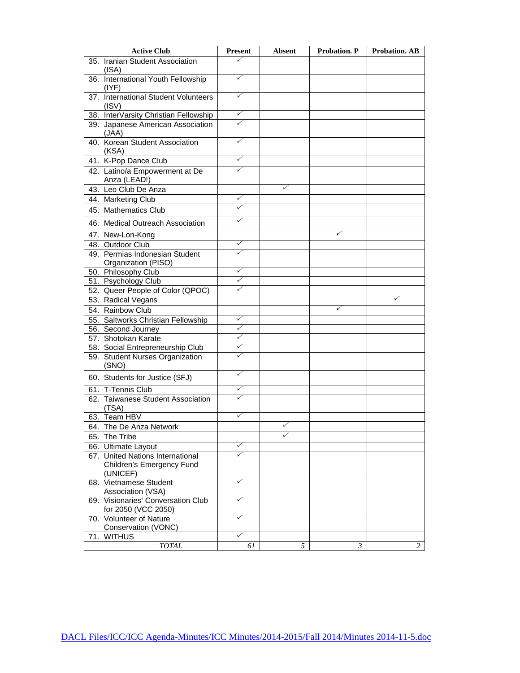| <b>Active Club</b>                                        | <b>Present</b> | <b>Absent</b> | <b>Probation. P</b> | <b>Probation. AB</b> |
|-----------------------------------------------------------|----------------|---------------|---------------------|----------------------|
| 35. Iranian Student Association<br>(ISA)                  | ✓              |               |                     |                      |
| 36. International Youth Fellowship<br>$($ IYF)            | ✓              |               |                     |                      |
| 37. International Student Volunteers<br>(ISV)             | ✓              |               |                     |                      |
| 38. InterVarsity Christian Fellowship                     | ✓              |               |                     |                      |
| 39. Japanese American Association<br>(JAA)                |                |               |                     |                      |
| 40. Korean Student Association<br>(KSA)                   | ✓              |               |                     |                      |
| 41. K-Pop Dance Club                                      | ✓              |               |                     |                      |
| 42. Latino/a Empowerment at De<br>Anza (LEAD!)            | ✓              |               |                     |                      |
| 43. Leo Club De Anza                                      |                | ✓             |                     |                      |
| 44. Marketing Club                                        | ✓              |               |                     |                      |
| 45. Mathematics Club                                      | ✓              |               |                     |                      |
| 46. Medical Outreach Association                          | ✓              |               |                     |                      |
| 47. New-Lon-Kong                                          |                |               | ✓                   |                      |
| 48. Outdoor Club                                          | ✓              |               |                     |                      |
| 49. Permias Indonesian Student                            | ✓              |               |                     |                      |
| Organization (PISO)                                       |                |               |                     |                      |
| 50. Philosophy Club                                       | ✓              |               |                     |                      |
| 51. Psychology Club                                       | ✓              |               |                     |                      |
| 52. Queer People of Color (QPOC)                          | ✓              |               |                     |                      |
| 53. Radical Vegans                                        |                |               |                     | ✓                    |
| 54. Rainbow Club                                          |                |               | ✓                   |                      |
| 55. Saltworks Christian Fellowship                        | ✓              |               |                     |                      |
| 56. Second Journey                                        | ✓              |               |                     |                      |
| 57. Shotokan Karate                                       | ✓              |               |                     |                      |
| 58. Social Entrepreneurship Club                          | ✓              |               |                     |                      |
| 59. Student Nurses Organization<br>(SNO)                  | ✓              |               |                     |                      |
| 60. Students for Justice (SFJ)                            | ✓              |               |                     |                      |
| 61. T-Tennis Club                                         | ✓              |               |                     |                      |
| 62. Taiwanese Student Association<br>(TSA)                | ✓              |               |                     |                      |
| 63. Team HBV                                              | ✓              |               |                     |                      |
| 64. The De Anza Network                                   |                |               |                     |                      |
| 65. The Tribe                                             |                |               |                     |                      |
| 66. Ultimate Layout                                       | ✓              |               |                     |                      |
| 67. United Nations International                          |                |               |                     |                      |
| Children's Emergency Fund<br>(UNICEF)                     |                |               |                     |                      |
| 68. Vietnamese Student<br>Association (VSA)               | ✓              |               |                     |                      |
| 69. Visionaries' Conversation Club<br>for 2050 (VCC 2050) | ✓              |               |                     |                      |
| 70. Volunteer of Nature<br>Conservation (VONC)            | ✓              |               |                     |                      |
| 71. WITHUS                                                | ✓              |               |                     |                      |
| <b>TOTAL</b>                                              | 61             | 5             | 3                   | 2                    |